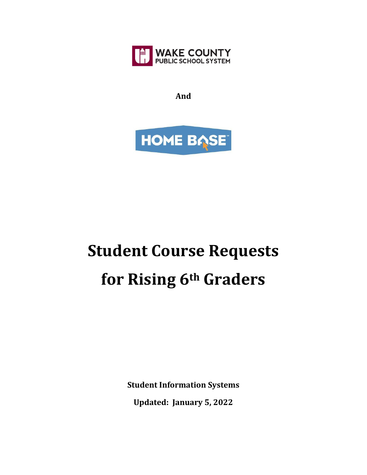

**And**



## **Student Course Requests for Rising 6th Graders**

**Student Information Systems Updated: January 5, 2022**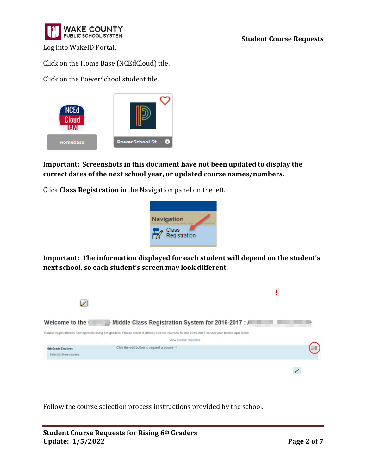

Log into WakeID Portal:

Click on the Home Base (NCEdCloud) tile.

Click on the PowerSchool student tile.



## **Important: Screenshots in this document have not been updated to display the correct dates of the next school year, or updated course names/numbers.**

Click **Class Registration** in the Navigation panel on the left.



**Important: The information displayed for each student will depend on the student's next school, so each student's screen may look different.**



Follow the course selection process instructions provided by the school.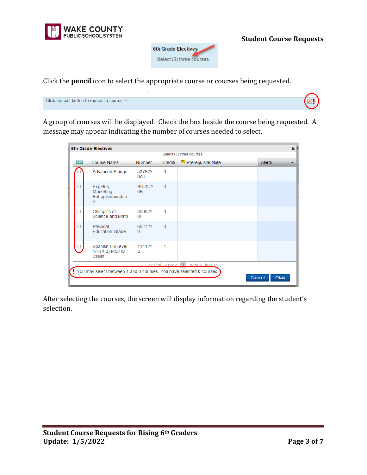



Click the **pencil** icon to select the appropriate course or courses being requested.



A group of courses will be displayed. Check the box beside the course being requested. A message may appear indicating the number of courses needed to select.

| $\overline{\checkmark}$ | <b>Course Name</b>                              | <b>Number</b>          | Credit:  | $\equiv$ Prerequisite Note                   | <b>Alerts</b> |
|-------------------------|-------------------------------------------------|------------------------|----------|----------------------------------------------|---------------|
|                         | <b>Advanced Strings</b>                         | 52782Y<br>0A1          | $\Omega$ |                                              |               |
|                         | Exp Bus,<br>Marketing,<br>Entrepreneurship<br>B | <b>BU202Y</b><br>0B    | $\Omega$ |                                              |               |
|                         | Olympics of<br>Science and Math                 | 30092Y<br>0F           | $\Omega$ |                                              |               |
|                         | Physical<br><b>Education Grade</b>              | 60272Y<br>$\mathbf{0}$ | $\Omega$ |                                              |               |
|                         | Spanish I B(Level<br>1/Part 2) MS/HS<br>Credit  | 11412Y<br>B            | 1        |                                              |               |
|                         |                                                 |                        |          | $<<$ first $<$ prev $\vert$ 1 next > last >> |               |

After selecting the courses, the screen will display information regarding the student's selection.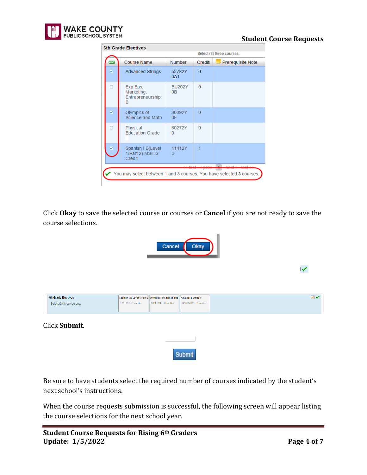

| Select (3) three courses. |                                                 |                                 |                |                                           |  |  |
|---------------------------|-------------------------------------------------|---------------------------------|----------------|-------------------------------------------|--|--|
| $\checkmark$              | <b>Course Name</b>                              | Number                          | Credit:        | $\overline{\mathbf{B}}$ Prerequisite Note |  |  |
| ⊽                         | <b>Advanced Strings</b>                         | 52782Y<br>0A1                   | $\overline{0}$ |                                           |  |  |
|                           | Exp Bus,<br>Marketing,<br>Entrepreneurship<br>в | <b>BU202Y</b><br>0 <sub>B</sub> | $\Omega$       |                                           |  |  |
| ø                         | Olympics of<br>Science and Math                 | 30092Y<br>0F                    | $\Omega$       |                                           |  |  |
|                           | Physical<br><b>Education Grade</b>              | 60272Y<br>$\Omega$              | $\Omega$       |                                           |  |  |
| ø                         | Spanish I B(Level<br>1/Part 2) MS/HS<br>Credit  | 11412Y<br>в                     | 1              |                                           |  |  |

Click **Okay** to save the selected course or courses or **Cancel** if you are not ready to save the course selections.

| Okay<br>Cancel                                          |                                                                                                                                                       |              |  |  |  |
|---------------------------------------------------------|-------------------------------------------------------------------------------------------------------------------------------------------------------|--------------|--|--|--|
|                                                         |                                                                                                                                                       | $\checkmark$ |  |  |  |
| <b>6th Grade Electives</b><br>Select (3) three courses. | Spanish I B(Level 1/Part 2 Olympics of Science and<br><b>Advanced Strings</b><br>11412YB - 1 credits<br>30092Y0F - 0 credits<br>52782Y0A1 - 0 credits | $2\sqrt{ }$  |  |  |  |
| Click Submit.                                           |                                                                                                                                                       |              |  |  |  |
|                                                         | Submit                                                                                                                                                |              |  |  |  |

Be sure to have students select the required number of courses indicated by the student's next school's instructions.

When the course requests submission is successful, the following screen will appear listing the course selections for the next school year.